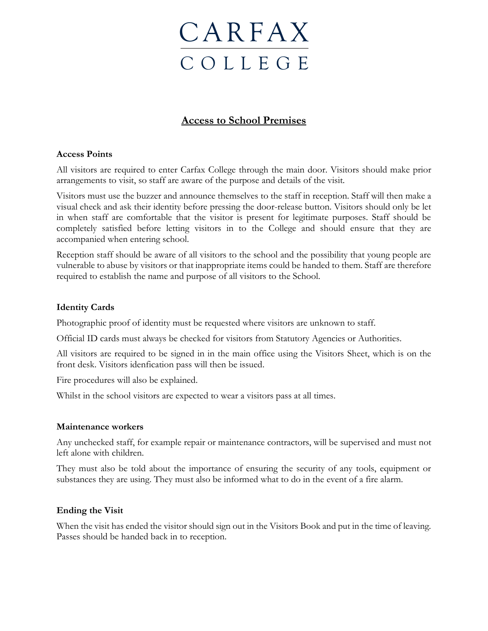

# **Access to School Premises**

## **Access Points**

All visitors are required to enter Carfax College through the main door. Visitors should make prior arrangements to visit, so staff are aware of the purpose and details of the visit.

Visitors must use the buzzer and announce themselves to the staff in reception. Staff will then make a visual check and ask their identity before pressing the door-release button. Visitors should only be let in when staff are comfortable that the visitor is present for legitimate purposes. Staff should be completely satisfied before letting visitors in to the College and should ensure that they are accompanied when entering school.

Reception staff should be aware of all visitors to the school and the possibility that young people are vulnerable to abuse by visitors or that inappropriate items could be handed to them. Staff are therefore required to establish the name and purpose of all visitors to the School.

## **Identity Cards**

Photographic proof of identity must be requested where visitors are unknown to staff.

Official ID cards must always be checked for visitors from Statutory Agencies or Authorities.

All visitors are required to be signed in in the main office using the Visitors Sheet, which is on the front desk. Visitors idenfication pass will then be issued.

Fire procedures will also be explained.

Whilst in the school visitors are expected to wear a visitors pass at all times.

#### **Maintenance workers**

Any unchecked staff, for example repair or maintenance contractors, will be supervised and must not left alone with children.

They must also be told about the importance of ensuring the security of any tools, equipment or substances they are using. They must also be informed what to do in the event of a fire alarm.

#### **Ending the Visit**

When the visit has ended the visitor should sign out in the Visitors Book and put in the time of leaving. Passes should be handed back in to reception.